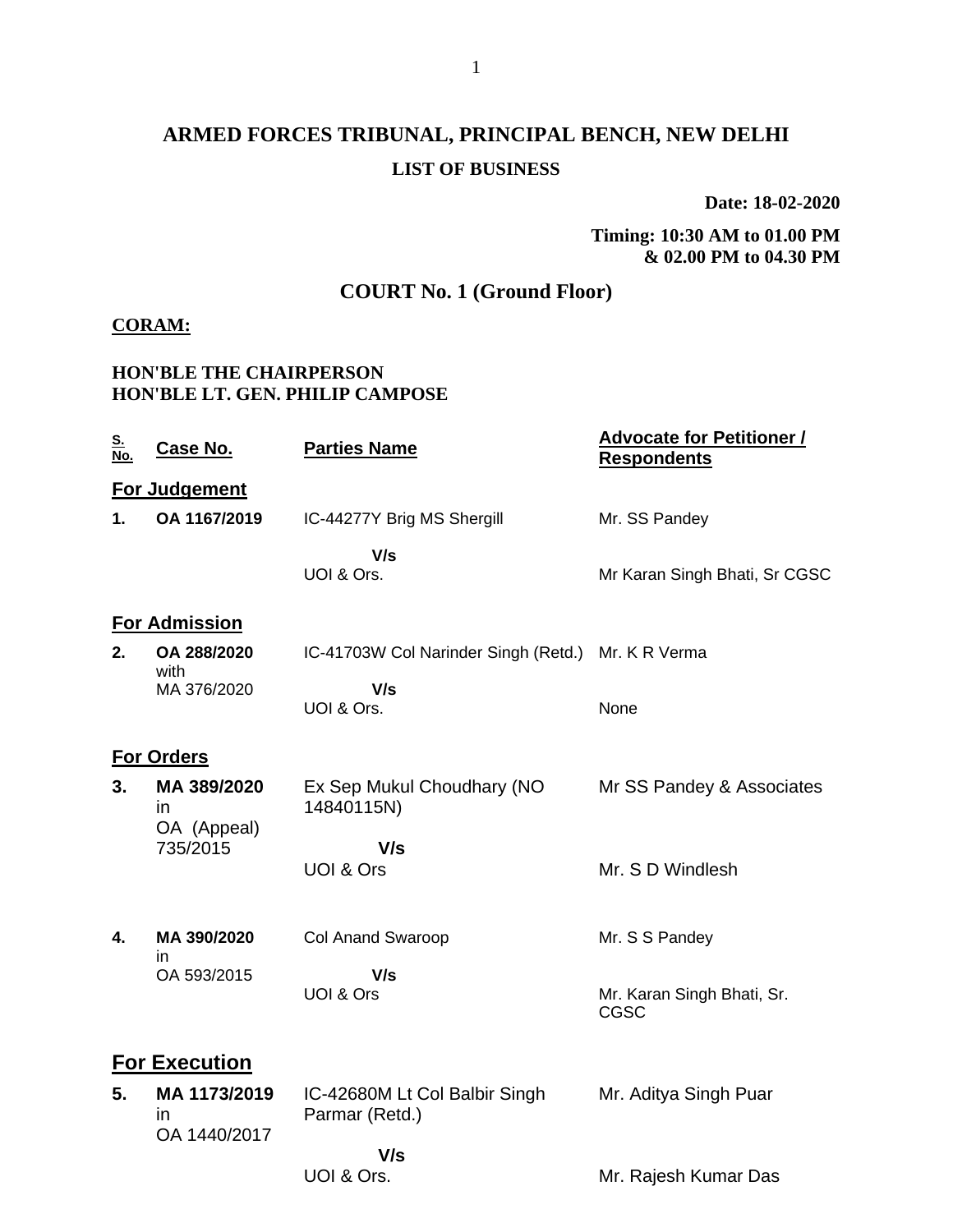# **ARMED FORCES TRIBUNAL, PRINCIPAL BENCH, NEW DELHI LIST OF BUSINESS**

**Date: 18-02-2020**

**Timing: 10:30 AM to 01.00 PM & 02.00 PM to 04.30 PM**

## **COURT No. 1 (Ground Floor)**

#### **CORAM:**

#### **HON'BLE THE CHAIRPERSON HON'BLE LT. GEN. PHILIP CAMPOSE**

| <u>s.</u><br>$\overline{\text{No}}$ . | Case No.                                     | <b>Parties Name</b>                             | <b>Advocate for Petitioner /</b><br><b>Respondents</b> |  |  |
|---------------------------------------|----------------------------------------------|-------------------------------------------------|--------------------------------------------------------|--|--|
|                                       | For Judgement                                |                                                 |                                                        |  |  |
| 1.                                    | OA 1167/2019                                 | IC-44277Y Brig MS Shergill                      | Mr. SS Pandey                                          |  |  |
|                                       |                                              | V/s<br>UOI & Ors.                               | Mr Karan Singh Bhati, Sr CGSC                          |  |  |
|                                       | <b>For Admission</b>                         |                                                 |                                                        |  |  |
| 2.                                    | OA 288/2020                                  | IC-41703W Col Narinder Singh (Retd.)            | Mr. K R Verma                                          |  |  |
|                                       | with<br>MA 376/2020                          | V/s<br>UOI & Ors.                               | None                                                   |  |  |
|                                       | <b>For Orders</b>                            |                                                 |                                                        |  |  |
| 3.                                    | MA 389/2020<br>in.                           | Ex Sep Mukul Choudhary (NO<br>14840115N)        | Mr SS Pandey & Associates                              |  |  |
|                                       | OA (Appeal)<br>735/2015                      | V/s                                             |                                                        |  |  |
|                                       |                                              | UOI & Ors                                       | Mr. S D Windlesh                                       |  |  |
| 4.                                    | MA 390/2020                                  | <b>Col Anand Swaroop</b>                        | Mr. S S Pandey                                         |  |  |
|                                       | in<br>OA 593/2015                            | V/s                                             |                                                        |  |  |
|                                       |                                              | UOI & Ors                                       | Mr. Karan Singh Bhati, Sr.<br>CGSC                     |  |  |
|                                       | For Execution                                |                                                 |                                                        |  |  |
| 5.                                    | MA 1173/2019<br>$\mathsf{I}$<br>OA 1440/2017 | IC-42680M Lt Col Balbir Singh<br>Parmar (Retd.) | Mr. Aditya Singh Puar                                  |  |  |
|                                       |                                              | V/s                                             |                                                        |  |  |
|                                       |                                              | UOI & Ors.                                      | Mr. Rajesh Kumar Das                                   |  |  |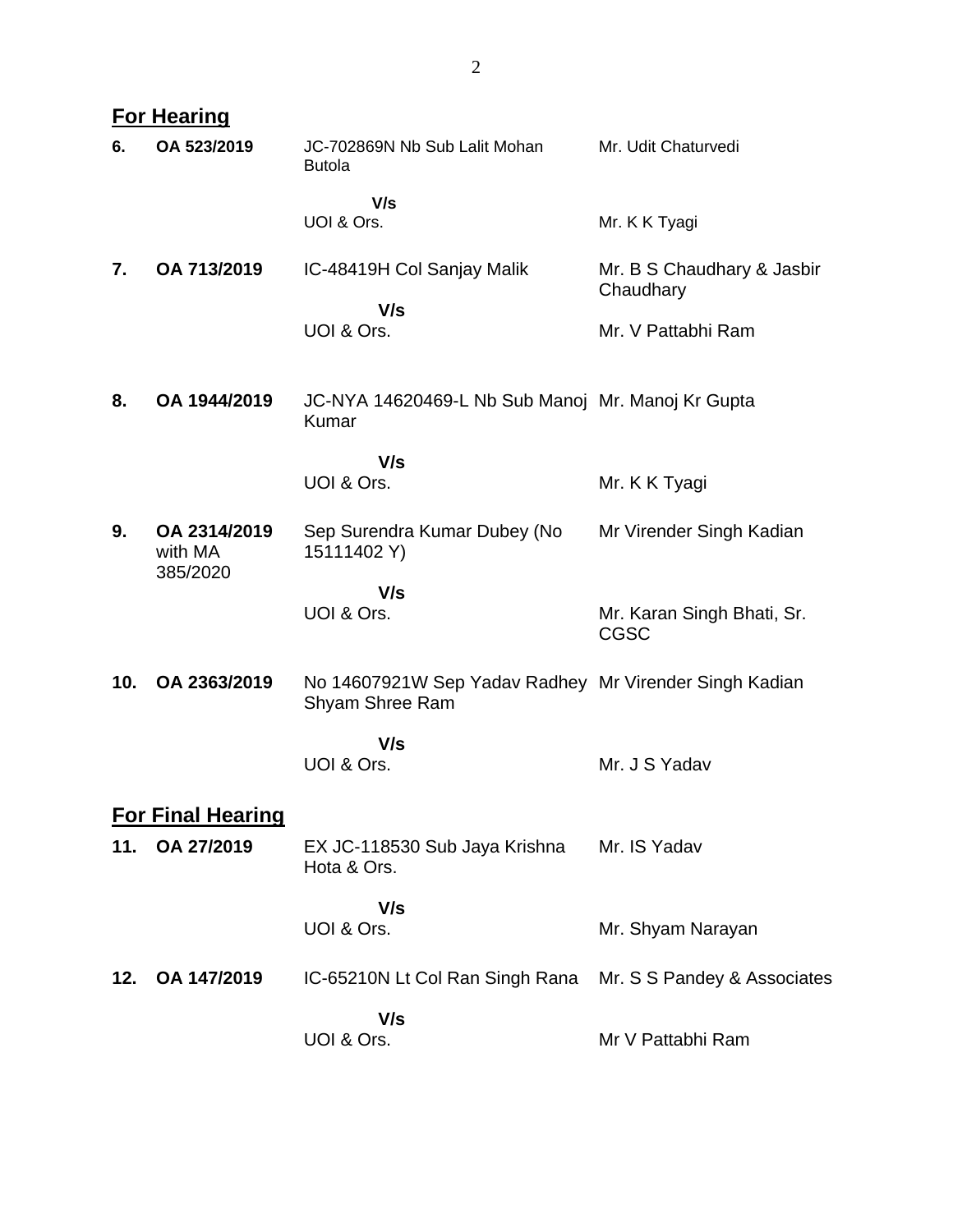|     | <b>For Hearing</b>                  |                                                                           |                                           |
|-----|-------------------------------------|---------------------------------------------------------------------------|-------------------------------------------|
| 6.  | OA 523/2019                         | JC-702869N Nb Sub Lalit Mohan<br><b>Butola</b>                            | Mr. Udit Chaturvedi                       |
|     |                                     | V/s<br>UOI & Ors.                                                         | Mr. K K Tyagi                             |
| 7.  | OA 713/2019                         | IC-48419H Col Sanjay Malik                                                | Mr. B S Chaudhary & Jasbir<br>Chaudhary   |
|     |                                     | V/s<br>UOI & Ors.                                                         | Mr. V Pattabhi Ram                        |
| 8.  | OA 1944/2019                        | JC-NYA 14620469-L Nb Sub Manoj Mr. Manoj Kr Gupta<br>Kumar                |                                           |
|     |                                     | V/s<br>UOI & Ors.                                                         | Mr. K K Tyagi                             |
| 9.  | OA 2314/2019<br>with MA<br>385/2020 | Sep Surendra Kumar Dubey (No<br>15111402 Y)                               | Mr Virender Singh Kadian                  |
|     |                                     | V/s<br>UOI & Ors.                                                         | Mr. Karan Singh Bhati, Sr.<br><b>CGSC</b> |
| 10. | OA 2363/2019                        | No 14607921W Sep Yadav Radhey Mr Virender Singh Kadian<br>Shyam Shree Ram |                                           |
|     |                                     | V/s<br>UOI & Ors.                                                         | Mr. J S Yadav                             |
|     | <b>For Final Hearing</b>            |                                                                           |                                           |
| 11. | OA 27/2019                          | EX JC-118530 Sub Jaya Krishna<br>Hota & Ors.                              | Mr. IS Yadav                              |
|     |                                     | V/s<br>UOI & Ors.                                                         | Mr. Shyam Narayan                         |
| 12. | OA 147/2019                         | IC-65210N Lt Col Ran Singh Rana                                           | Mr. S S Pandey & Associates               |
|     |                                     | V/s<br>UOI & Ors.                                                         | Mr V Pattabhi Ram                         |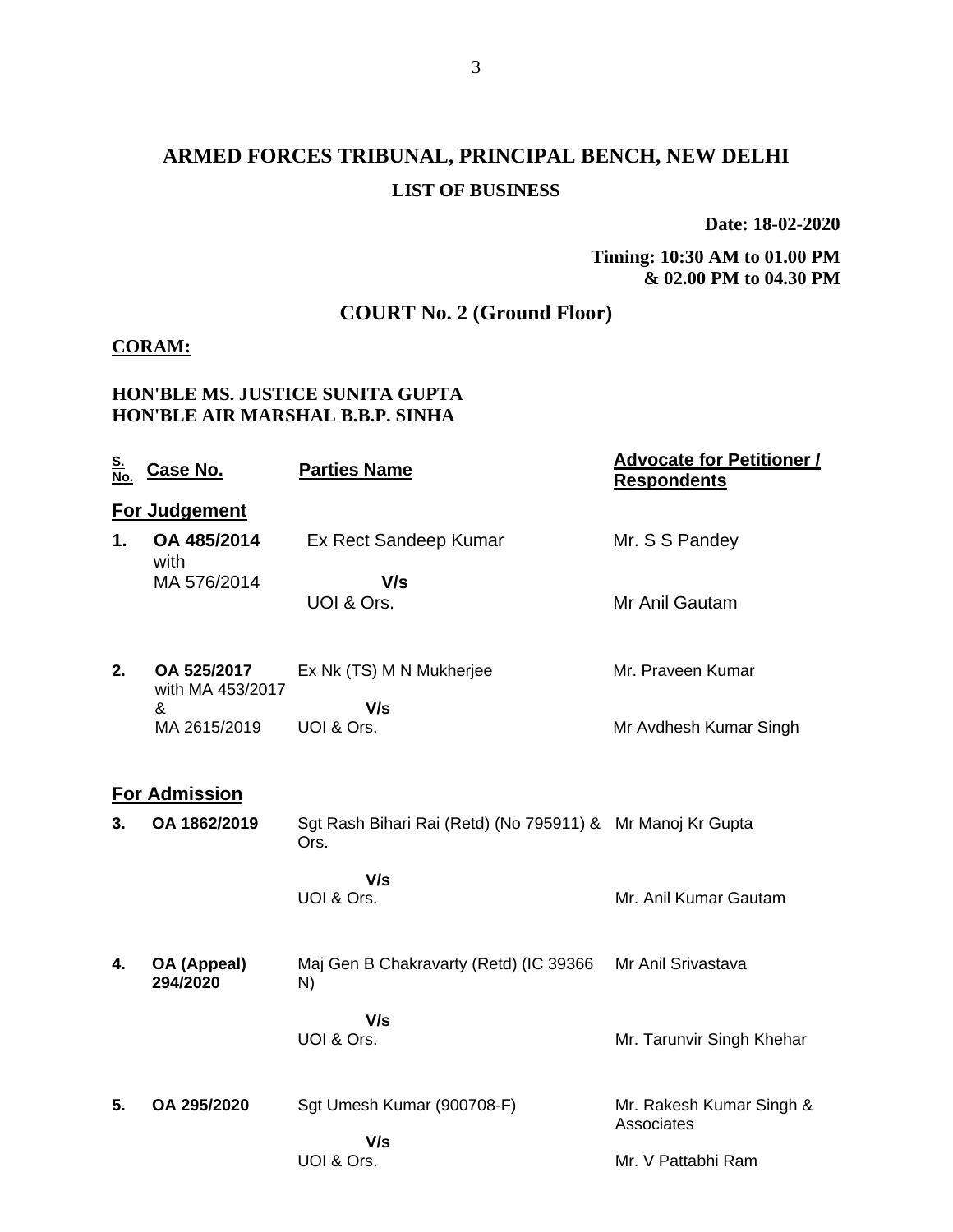# **ARMED FORCES TRIBUNAL, PRINCIPAL BENCH, NEW DELHI LIST OF BUSINESS**

**Date: 18-02-2020**

**Timing: 10:30 AM to 01.00 PM & 02.00 PM to 04.30 PM**

## **COURT No. 2 (Ground Floor)**

#### **CORAM:**

#### **HON'BLE MS. JUSTICE SUNITA GUPTA HON'BLE AIR MARSHAL B.B.P. SINHA**

| <u>S.</u><br>No. | Case No.                        | <b>Parties Name</b>                                                | <b>Advocate for Petitioner /</b><br><b>Respondents</b> |
|------------------|---------------------------------|--------------------------------------------------------------------|--------------------------------------------------------|
|                  | For Judgement                   |                                                                    |                                                        |
| 1.               | OA 485/2014<br>with             | Ex Rect Sandeep Kumar                                              | Mr. S S Pandey                                         |
|                  | MA 576/2014                     | V/s                                                                |                                                        |
|                  |                                 | UOI & Ors.                                                         | Mr Anil Gautam                                         |
| 2.               | OA 525/2017<br>with MA 453/2017 | Ex Nk (TS) M N Mukherjee                                           | Mr. Praveen Kumar                                      |
|                  | &                               | V/s                                                                |                                                        |
|                  | MA 2615/2019                    | UOI & Ors.                                                         | Mr Avdhesh Kumar Singh                                 |
|                  | <b>For Admission</b>            |                                                                    |                                                        |
| 3.               | OA 1862/2019                    | Sgt Rash Bihari Rai (Retd) (No 795911) & Mr Manoj Kr Gupta<br>Ors. |                                                        |
|                  |                                 | V/s                                                                |                                                        |
|                  |                                 | UOI & Ors.                                                         | Mr. Anil Kumar Gautam                                  |
| 4.               | OA (Appeal)<br>294/2020         | Maj Gen B Chakravarty (Retd) (IC 39366<br>N)                       | Mr Anil Srivastava                                     |
|                  |                                 | V/s                                                                |                                                        |
|                  |                                 | UOI & Ors.                                                         | Mr. Tarunvir Singh Khehar                              |
| 5.               | OA 295/2020                     | Sgt Umesh Kumar (900708-F)                                         | Mr. Rakesh Kumar Singh &<br>Associates                 |
|                  |                                 | V/s                                                                |                                                        |
|                  |                                 | UOI & Ors.                                                         | Mr. V Pattabhi Ram                                     |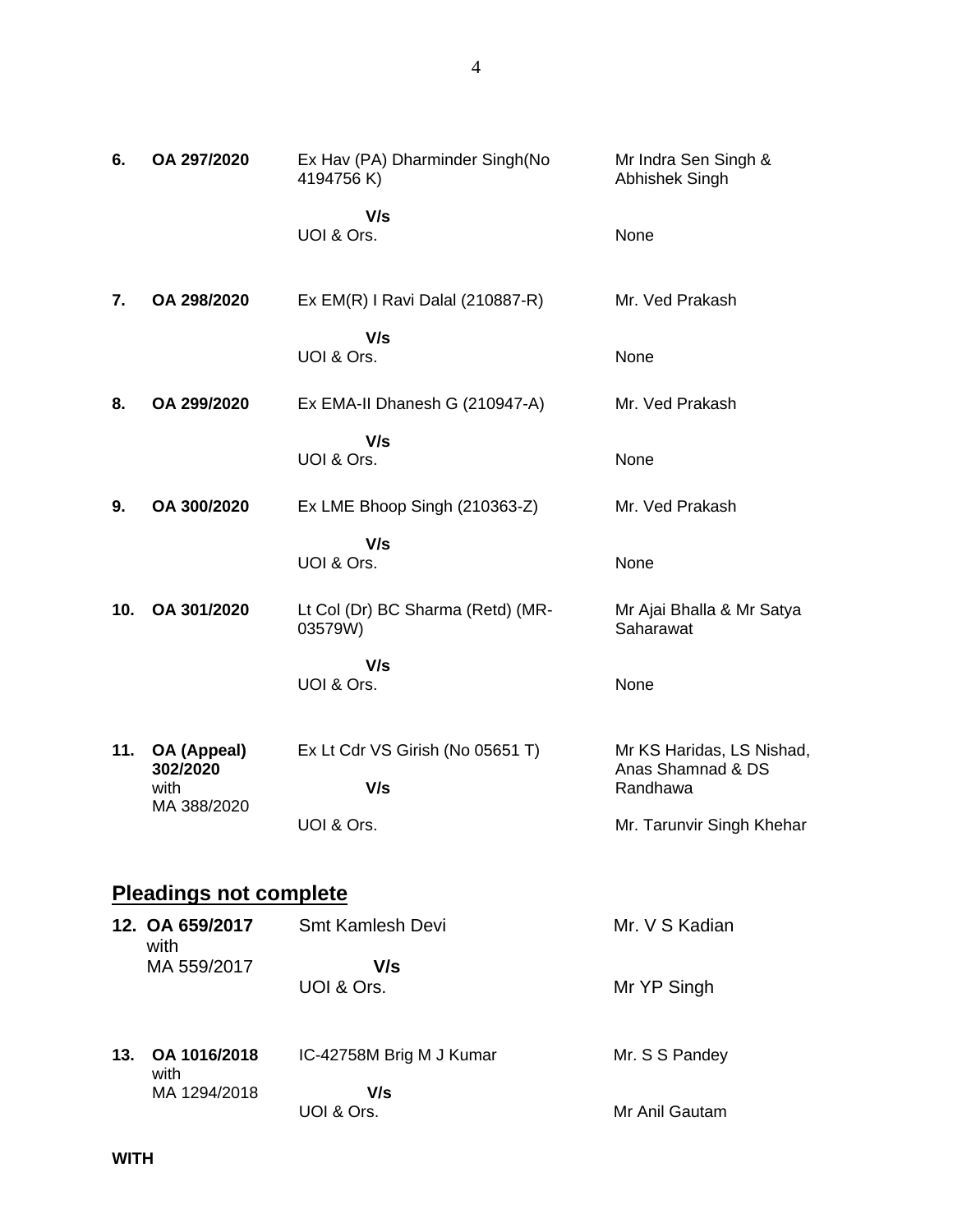| 6.  | OA 297/2020                                    | Ex Hav (PA) Dharminder Singh(No<br>4194756 K)         | Mr Indra Sen Singh &<br>Abhishek Singh                                                  |
|-----|------------------------------------------------|-------------------------------------------------------|-----------------------------------------------------------------------------------------|
|     |                                                | V/s<br>UOI & Ors.                                     | None                                                                                    |
| 7.  | OA 298/2020                                    | Ex EM(R) I Ravi Dalal (210887-R)                      | Mr. Ved Prakash                                                                         |
|     |                                                | V/s<br>UOI & Ors.                                     | None                                                                                    |
| 8.  | OA 299/2020                                    | Ex EMA-II Dhanesh G (210947-A)                        | Mr. Ved Prakash                                                                         |
|     |                                                | V/s<br>UOI & Ors.                                     | None                                                                                    |
| 9.  | OA 300/2020                                    | Ex LME Bhoop Singh (210363-Z)                         | Mr. Ved Prakash                                                                         |
|     |                                                | V/s<br>UOI & Ors.                                     | None                                                                                    |
| 10. | OA 301/2020                                    | Lt Col (Dr) BC Sharma (Retd) (MR-<br>03579W)          | Mr Ajai Bhalla & Mr Satya<br>Saharawat                                                  |
|     |                                                | V/s<br>UOI & Ors.                                     | None                                                                                    |
| 11. | OA (Appeal)<br>302/2020<br>with<br>MA 388/2020 | Ex Lt Cdr VS Girish (No 05651 T)<br>V/s<br>UOI & Ors. | Mr KS Haridas, LS Nishad,<br>Anas Shamnad & DS<br>Randhawa<br>Mr. Tarunvir Singh Khehar |
|     |                                                |                                                       |                                                                                         |
|     | <b>Pleadings not complete</b>                  |                                                       |                                                                                         |
|     | 12. OA 659/2017<br>with                        | Smt Kamlesh Devi                                      | Mr. V S Kadian                                                                          |
|     | MA 559/2017                                    | V/s<br>UOI & Ors.                                     | Mr YP Singh                                                                             |
| 13. | OA 1016/2018<br>with                           | IC-42758M Brig M J Kumar                              | Mr. S S Pandey                                                                          |
|     | MA 1294/2018                                   | V/s<br>UOI & Ors.                                     | Mr Anil Gautam                                                                          |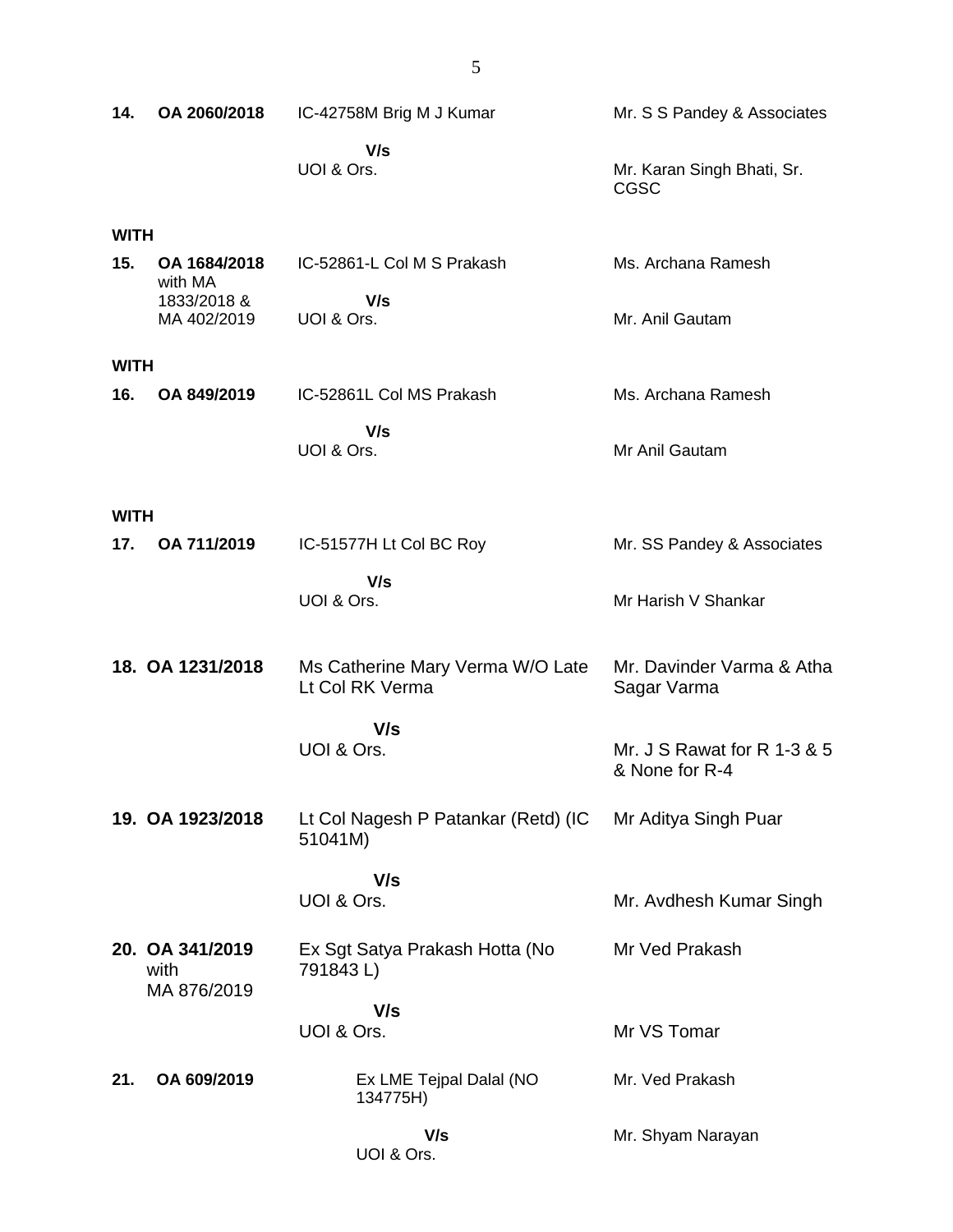| 14.         | OA 2060/2018                          | IC-42758M Brig M J Kumar                            | Mr. S S Pandey & Associates                   |
|-------------|---------------------------------------|-----------------------------------------------------|-----------------------------------------------|
|             |                                       | V/s<br>UOI & Ors.                                   | Mr. Karan Singh Bhati, Sr.<br><b>CGSC</b>     |
| <b>WITH</b> |                                       |                                                     |                                               |
| 15.         | OA 1684/2018                          | IC-52861-L Col M S Prakash                          | Ms. Archana Ramesh                            |
|             | with MA<br>1833/2018 &<br>MA 402/2019 | V/s<br>UOI & Ors.                                   | Mr. Anil Gautam                               |
| <b>WITH</b> |                                       |                                                     |                                               |
| 16.         | OA 849/2019                           | IC-52861L Col MS Prakash                            | Ms. Archana Ramesh                            |
|             |                                       | V/s<br>UOI & Ors.                                   | Mr Anil Gautam                                |
| <b>WITH</b> |                                       |                                                     |                                               |
| 17.         | OA 711/2019                           | IC-51577H Lt Col BC Roy                             | Mr. SS Pandey & Associates                    |
|             |                                       | V/s<br>UOI & Ors.                                   | Mr Harish V Shankar                           |
|             | 18. OA 1231/2018                      | Ms Catherine Mary Verma W/O Late<br>Lt Col RK Verma | Mr. Davinder Varma & Atha<br>Sagar Varma      |
|             |                                       | V/s<br>UOI & Ors.                                   | Mr. J S Rawat for R 1-3 & 5<br>& None for R-4 |
|             | 19. OA 1923/2018                      | Lt Col Nagesh P Patankar (Retd) (IC<br>51041M)      | Mr Aditya Singh Puar                          |
|             |                                       | V/s                                                 |                                               |
|             |                                       | UOI & Ors.                                          | Mr. Avdhesh Kumar Singh                       |
|             | 20. OA 341/2019<br>with               | Ex Sgt Satya Prakash Hotta (No<br>791843L)          | Mr Ved Prakash                                |
|             | MA 876/2019                           | V/s<br>UOI & Ors.                                   | Mr VS Tomar                                   |
| 21.         | OA 609/2019                           | Ex LME Tejpal Dalal (NO<br>134775H)                 | Mr. Ved Prakash                               |
|             |                                       | V/s<br>UOI & Ors.                                   | Mr. Shyam Narayan                             |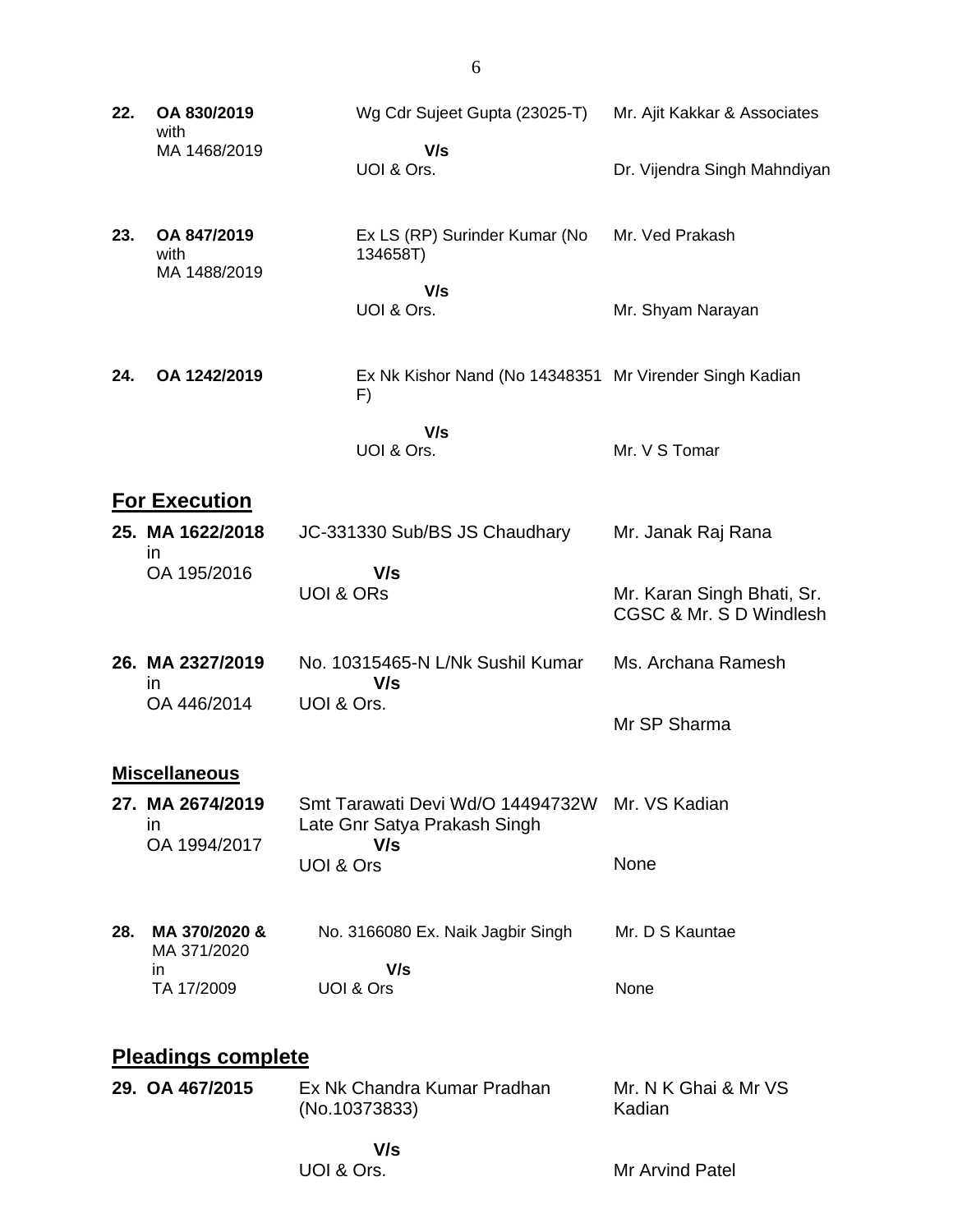- **22. OA 830/2019** with MA 1468/2019 Wg Cdr Sujeet Gupta (23025-T)  **V/s** UOI & Ors. Mr. Ajit Kakkar & Associates Dr. Vijendra Singh Mahndiyan
- **23. OA 847/2019** with MA 1488/2019 Ex LS (RP) Surinder Kumar (No 134658T) Mr. Ved Prakash
	- **V/s** UOI & Ors. Mr. Shyam Narayan
- **24. OA 1242/2019** Ex Nk Kishor Nand (No 14348351 Mr Virender Singh Kadian F)

 **V/s** UOI & Ors.

# Mr. V S Tomar

#### **For Execution**

- **25. MA 1622/2018** in OA 195/2016 JC-331330 Sub/BS JS Chaudhary  **V/s** UOI & ORs Mr. Janak Raj Rana Mr. Karan Singh Bhati, Sr. CGSC & Mr. S D Windlesh
- **26. MA 2327/2019** in OA 446/2014 No. 10315465-N L/Nk Sushil Kumar  **V/s** UOI & Ors. Ms. Archana Ramesh

#### **Miscellaneous**

- **27. MA 2674/2019** in OA 1994/2017 Smt Tarawati Devi Wd/O 14494732W Mr. VS Kadian Late Gnr Satya Prakash Singh  **V/s** UOI & Ors None
- **28. MA 370/2020 &** MA 371/2020 in TA 17/2009 No. 3166080 Ex. Naik Jagbir Singh  **V/s** UOI & Ors Mr. D S Kauntae None

### **Pleadings complete**

**29. OA 467/2015** Ex Nk Chandra Kumar Pradhan (No.10373833) Mr. N K Ghai & Mr VS Kadian

Mr SP Sharma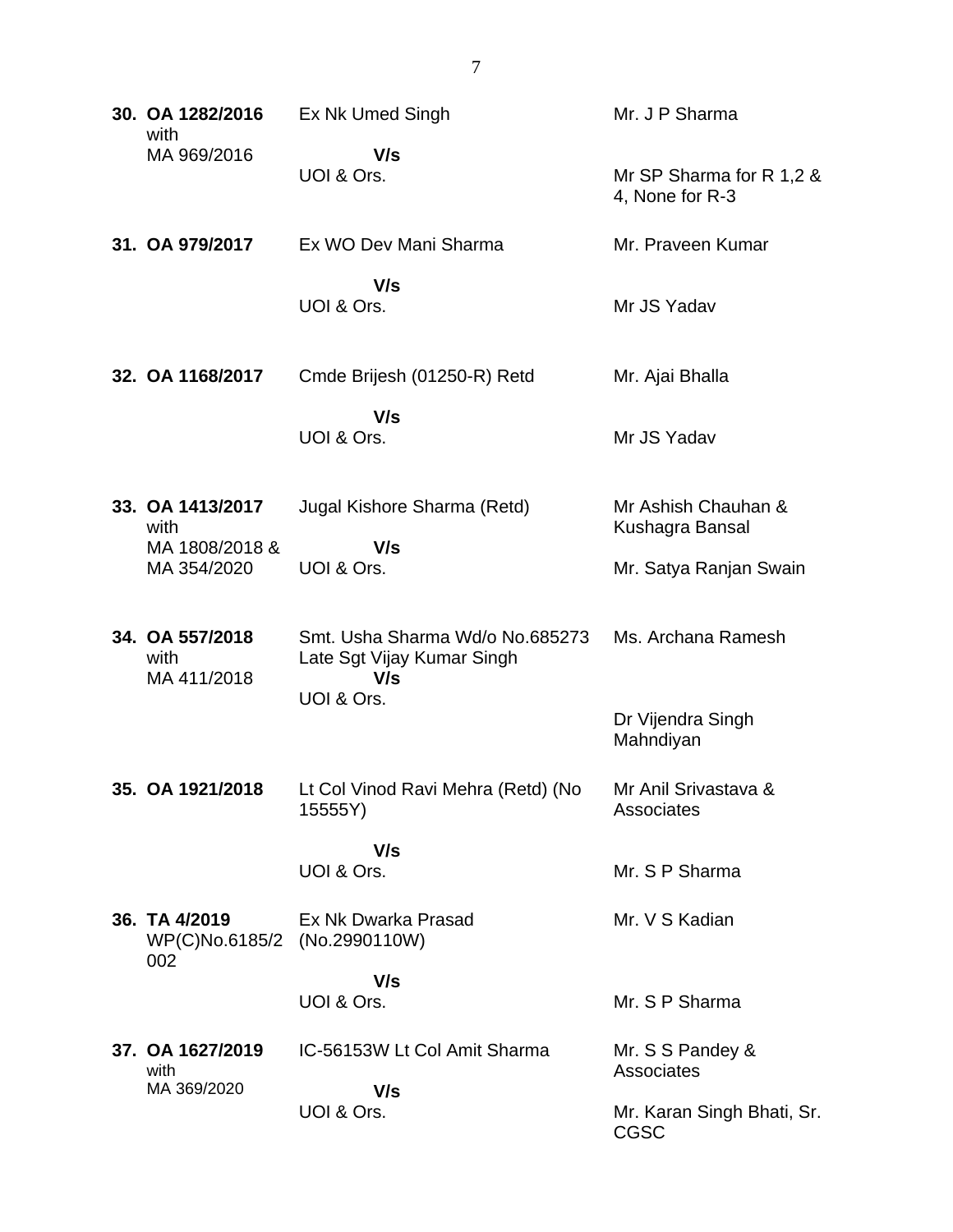| 30. OA 1282/2016<br>with                             | Ex Nk Umed Singh                                                                   | Mr. J P Sharma                              |
|------------------------------------------------------|------------------------------------------------------------------------------------|---------------------------------------------|
| MA 969/2016                                          | V/s<br>UOI & Ors.                                                                  | Mr SP Sharma for R 1,2 &<br>4, None for R-3 |
| 31. OA 979/2017                                      | Ex WO Dev Mani Sharma                                                              | Mr. Praveen Kumar                           |
|                                                      | V/s<br>UOI & Ors.                                                                  | Mr JS Yadav                                 |
| 32. OA 1168/2017                                     | Cmde Brijesh (01250-R) Retd                                                        | Mr. Ajai Bhalla                             |
|                                                      | V/s<br>UOI & Ors.                                                                  | Mr JS Yadav                                 |
| 33. OA 1413/2017<br>with<br>MA 1808/2018 &           | Jugal Kishore Sharma (Retd)<br>V/s                                                 | Mr Ashish Chauhan &<br>Kushagra Bansal      |
| MA 354/2020                                          | UOI & Ors.                                                                         | Mr. Satya Ranjan Swain                      |
| 34. OA 557/2018<br>with<br>MA 411/2018               | Smt. Usha Sharma Wd/o No.685273<br>Late Sgt Vijay Kumar Singh<br>V/s<br>UOI & Ors. | Ms. Archana Ramesh                          |
|                                                      |                                                                                    | Dr Vijendra Singh<br>Mahndiyan              |
| 35. OA 1921/2018                                     | Lt Col Vinod Ravi Mehra (Retd) (No<br>15555Y)                                      | Mr Anil Srivastava &<br>Associates          |
|                                                      | V/s<br>UOI & Ors.                                                                  | Mr. S P Sharma                              |
| 36. TA 4/2019<br>WP(C)No.6185/2 (No.2990110W)<br>002 | Ex Nk Dwarka Prasad                                                                | Mr. V S Kadian                              |
|                                                      | V/s<br>UOI & Ors.                                                                  | Mr. S P Sharma                              |
| 37. OA 1627/2019<br>with<br>MA 369/2020              | IC-56153W Lt Col Amit Sharma<br>V/s                                                | Mr. S S Pandey &<br>Associates              |
|                                                      | UOI & Ors.                                                                         | Mr. Karan Singh Bhati, Sr.<br><b>CGSC</b>   |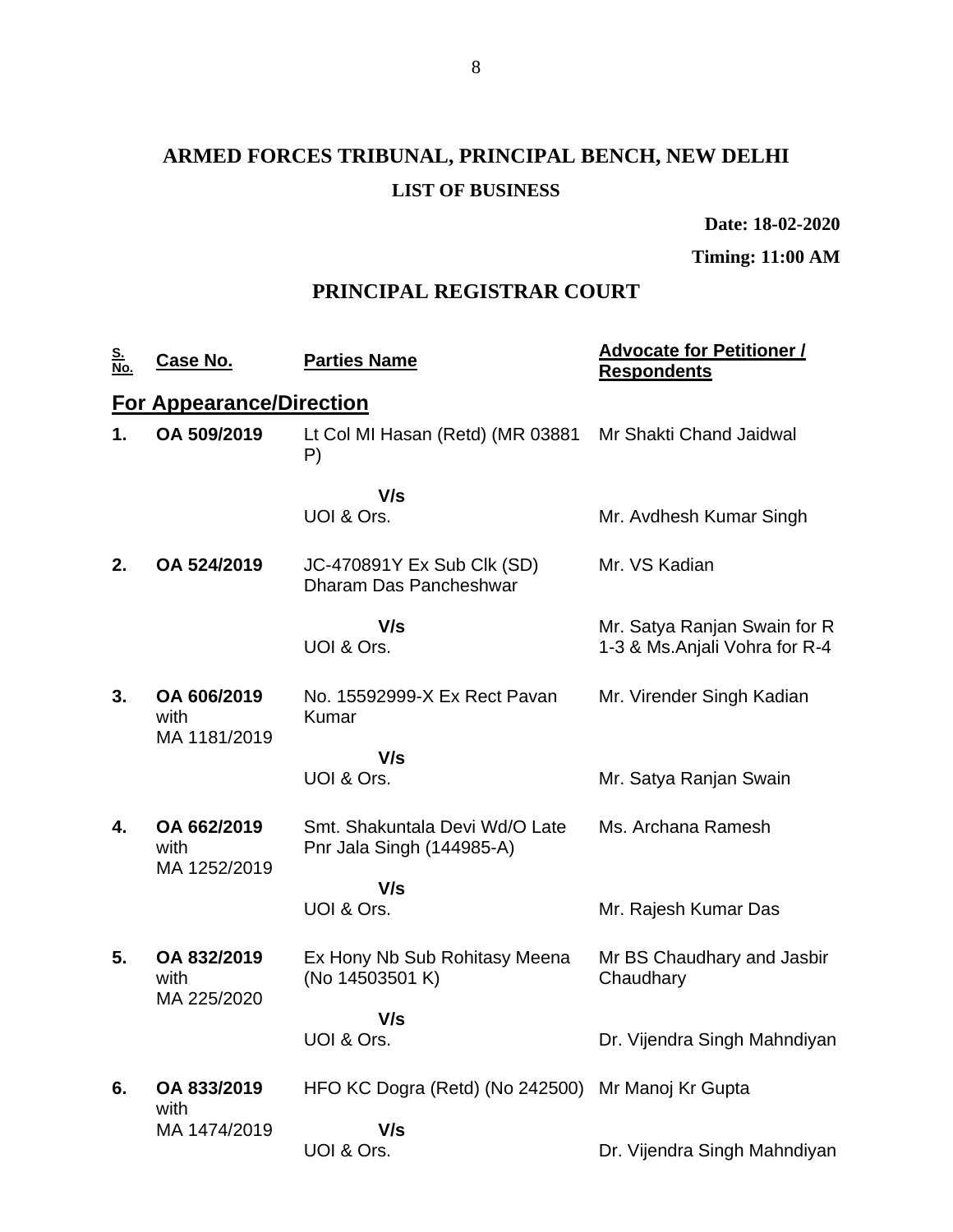# **ARMED FORCES TRIBUNAL, PRINCIPAL BENCH, NEW DELHI LIST OF BUSINESS**

**Date: 18-02-2020**

**Timing: 11:00 AM**

## **PRINCIPAL REGISTRAR COURT**

| <u>S.</u><br>No. | Case No.                            | <b>Parties Name</b>                                         | <b>Advocate for Petitioner /</b><br><b>Respondents</b>        |
|------------------|-------------------------------------|-------------------------------------------------------------|---------------------------------------------------------------|
|                  | <b>For Appearance/Direction</b>     |                                                             |                                                               |
| 1.               | OA 509/2019                         | Lt Col MI Hasan (Retd) (MR 03881<br>P)                      | Mr Shakti Chand Jaidwal                                       |
|                  |                                     | V/s<br>UOI & Ors.                                           | Mr. Avdhesh Kumar Singh                                       |
| 2.               | OA 524/2019                         | JC-470891Y Ex Sub Clk (SD)<br>Dharam Das Pancheshwar        | Mr. VS Kadian                                                 |
|                  |                                     | V/s<br>UOI & Ors.                                           | Mr. Satya Ranjan Swain for R<br>1-3 & Ms.Anjali Vohra for R-4 |
| 3.               | OA 606/2019<br>with<br>MA 1181/2019 | No. 15592999-X Ex Rect Payan<br>Kumar                       | Mr. Virender Singh Kadian                                     |
|                  |                                     | V/s<br>UOI & Ors.                                           | Mr. Satya Ranjan Swain                                        |
| 4.               | OA 662/2019<br>with<br>MA 1252/2019 | Smt. Shakuntala Devi Wd/O Late<br>Pnr Jala Singh (144985-A) | Ms. Archana Ramesh                                            |
|                  |                                     | V/s                                                         |                                                               |
|                  |                                     | UOI & Ors.                                                  | Mr. Rajesh Kumar Das                                          |
| 5.               | OA 832/2019<br>with<br>MA 225/2020  | Ex Hony Nb Sub Rohitasy Meena<br>(No 14503501 K)            | Mr BS Chaudhary and Jasbir<br>Chaudhary                       |
|                  |                                     | V/s                                                         |                                                               |
|                  |                                     | UOI & Ors.                                                  | Dr. Vijendra Singh Mahndiyan                                  |
| 6.               | OA 833/2019<br>with                 | HFO KC Dogra (Retd) (No 242500) Mr Manoj Kr Gupta           |                                                               |
|                  | MA 1474/2019                        | V/s<br>UOI & Ors.                                           | Dr. Vijendra Singh Mahndiyan                                  |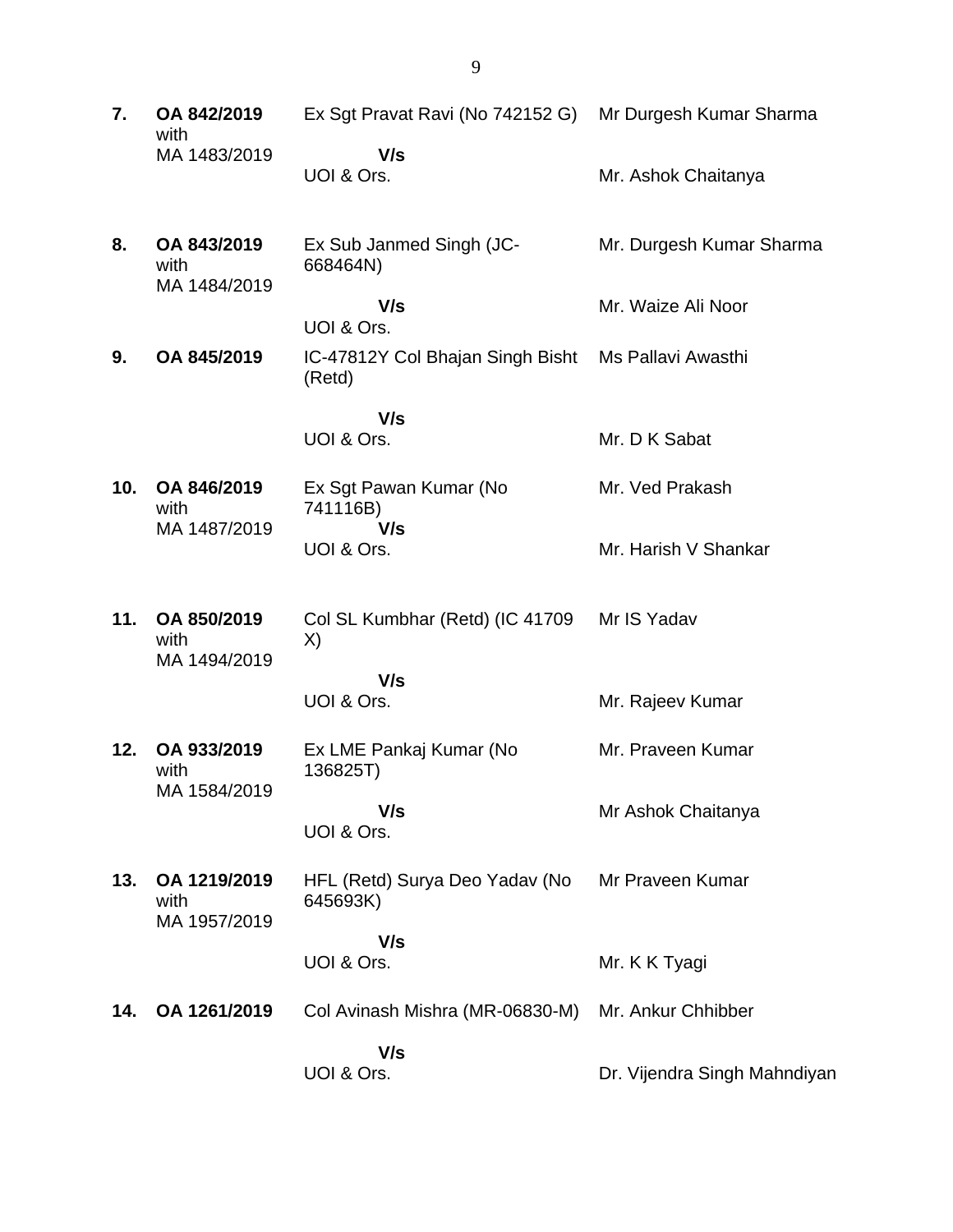| 7.  | OA 842/2019<br>with                 | Ex Sgt Pravat Ravi (No 742152 G) Mr Durgesh Kumar Sharma |                              |
|-----|-------------------------------------|----------------------------------------------------------|------------------------------|
|     | MA 1483/2019                        | V/s<br>UOI & Ors.                                        | Mr. Ashok Chaitanya          |
| 8.  | OA 843/2019<br>with<br>MA 1484/2019 | Ex Sub Janmed Singh (JC-<br>668464N)                     | Mr. Durgesh Kumar Sharma     |
|     |                                     | V/s<br>UOI & Ors.                                        | Mr. Waize Ali Noor           |
| 9.  | OA 845/2019                         | IC-47812Y Col Bhajan Singh Bisht<br>(Retd)               | Ms Pallavi Awasthi           |
|     |                                     | V/s                                                      |                              |
|     |                                     | UOI & Ors.                                               | Mr. D K Sabat                |
| 10. | OA 846/2019<br>with                 | Ex Sgt Pawan Kumar (No<br>741116B)<br>V/s                | Mr. Ved Prakash              |
|     | MA 1487/2019                        | UOI & Ors.                                               | Mr. Harish V Shankar         |
| 11. | OA 850/2019<br>with<br>MA 1494/2019 | Col SL Kumbhar (Retd) (IC 41709<br>X)                    | Mr IS Yadav                  |
|     |                                     | V/s<br>UOI & Ors.                                        | Mr. Rajeev Kumar             |
| 12. | OA 933/2019<br>with                 | Ex LME Pankaj Kumar (No<br>136825T)                      | Mr. Praveen Kumar            |
|     | MA 1584/2019                        | V/s<br>UOI & Ors.                                        | Mr Ashok Chaitanya           |
| 13. | OA 1219/2019<br>with                | HFL (Retd) Surya Deo Yadav (No<br>645693K)               | Mr Praveen Kumar             |
|     | MA 1957/2019                        | V/s                                                      |                              |
|     |                                     | UOI & Ors.                                               | Mr. K K Tyagi                |
| 14. | OA 1261/2019                        | Col Avinash Mishra (MR-06830-M)                          | Mr. Ankur Chhibber           |
|     |                                     | V/s<br>UOI & Ors.                                        | Dr. Vijendra Singh Mahndiyan |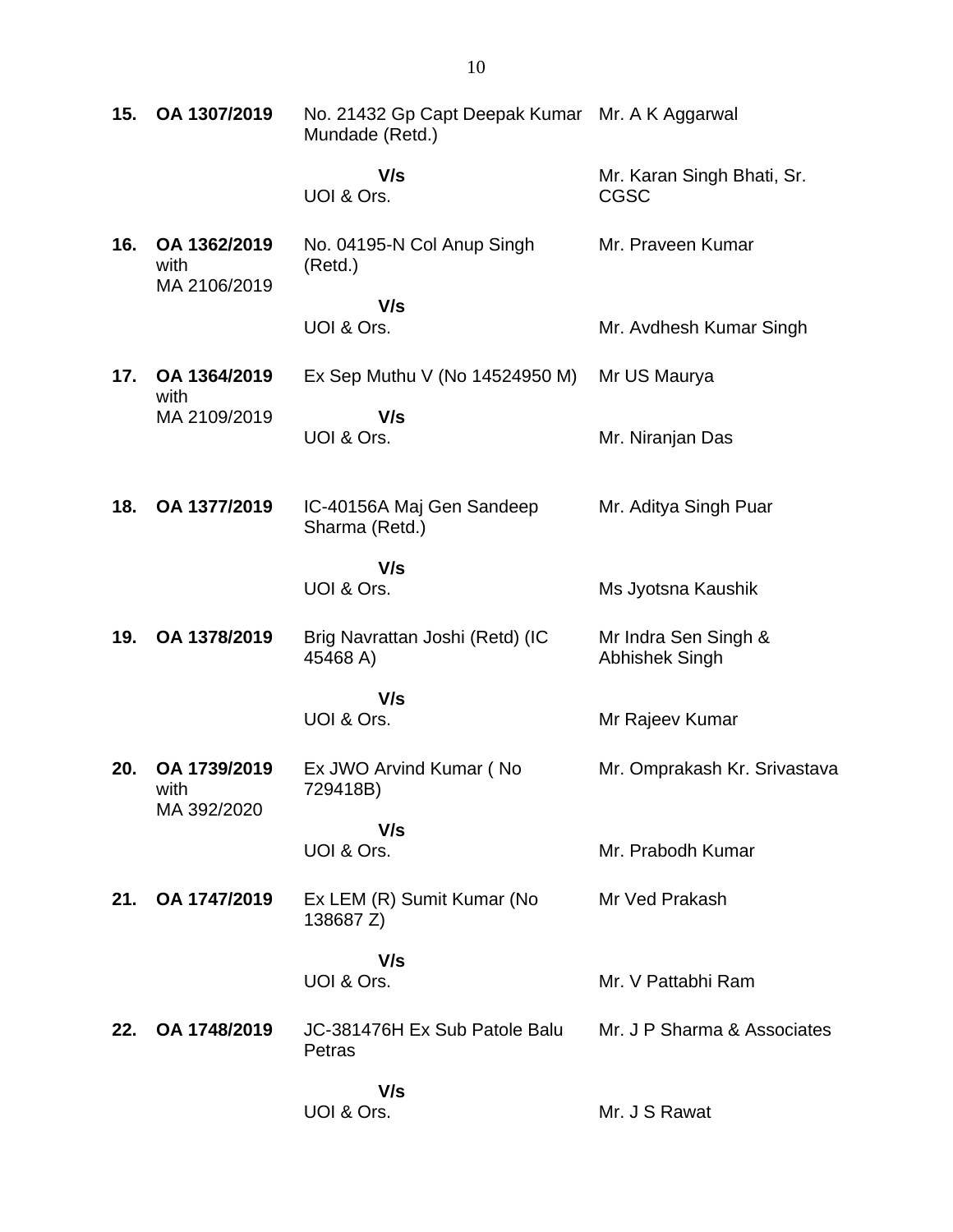| 15. | OA 1307/2019                         | No. 21432 Gp Capt Deepak Kumar Mr. A K Aggarwal<br>Mundade (Retd.) |                                        |
|-----|--------------------------------------|--------------------------------------------------------------------|----------------------------------------|
|     |                                      | V/s<br>UOI & Ors.                                                  | Mr. Karan Singh Bhati, Sr.<br>CGSC     |
| 16. | OA 1362/2019<br>with<br>MA 2106/2019 | No. 04195-N Col Anup Singh<br>(Retd.)                              | Mr. Praveen Kumar                      |
|     |                                      | V/s                                                                |                                        |
|     |                                      | UOI & Ors.                                                         | Mr. Avdhesh Kumar Singh                |
| 17. | OA 1364/2019<br>with                 | Ex Sep Muthu V (No $14524950$ M)                                   | Mr US Maurya                           |
|     | MA 2109/2019                         | V/s                                                                |                                        |
|     |                                      | UOI & Ors.                                                         | Mr. Niranjan Das                       |
| 18. | OA 1377/2019                         | IC-40156A Maj Gen Sandeep<br>Sharma (Retd.)                        | Mr. Aditya Singh Puar                  |
|     |                                      | V/s<br>UOI & Ors.                                                  | Ms Jyotsna Kaushik                     |
| 19. | OA 1378/2019                         | Brig Navrattan Joshi (Retd) (IC<br>45468 A)                        | Mr Indra Sen Singh &<br>Abhishek Singh |
|     |                                      | V/s<br>UOI & Ors.                                                  | Mr Rajeev Kumar                        |
| 20. | OA 1739/2019<br>with<br>MA 392/2020  | Ex JWO Arvind Kumar (No.<br>729418B)                               | Mr. Omprakash Kr. Srivastava           |
|     |                                      | V/s<br>UOI & Ors.                                                  | Mr. Prabodh Kumar                      |
| 21. | OA 1747/2019                         | Ex LEM (R) Sumit Kumar (No<br>138687 Z)                            | Mr Ved Prakash                         |
|     |                                      | V/s<br>UOI & Ors.                                                  | Mr. V Pattabhi Ram                     |
| 22. | OA 1748/2019                         | JC-381476H Ex Sub Patole Balu<br>Petras                            | Mr. J P Sharma & Associates            |
|     |                                      | V/s<br>UOI & Ors.                                                  | Mr. J S Rawat                          |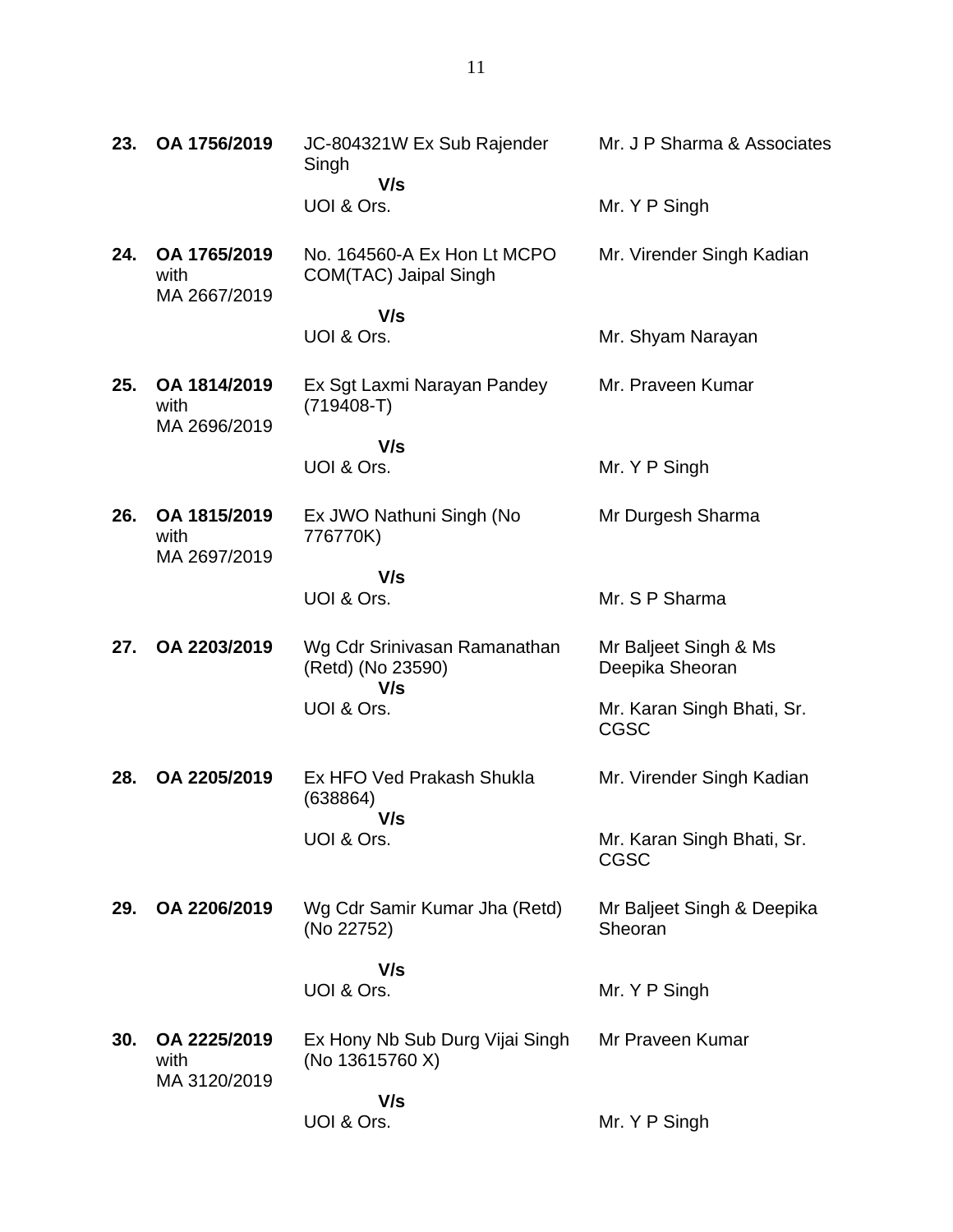| 23. | OA 1756/2019                         | JC-804321W Ex Sub Rajender<br>Singh<br>V/s               | Mr. J P Sharma & Associates               |
|-----|--------------------------------------|----------------------------------------------------------|-------------------------------------------|
|     |                                      | UOI & Ors.                                               | Mr. Y P Singh                             |
| 24. | OA 1765/2019<br>with<br>MA 2667/2019 | No. 164560-A Ex Hon Lt MCPO<br>COM(TAC) Jaipal Singh     | Mr. Virender Singh Kadian                 |
|     |                                      | V/s<br>UOI & Ors.                                        | Mr. Shyam Narayan                         |
| 25. | OA 1814/2019<br>with                 | Ex Sgt Laxmi Narayan Pandey<br>$(719408-T)$              | Mr. Praveen Kumar                         |
|     | MA 2696/2019                         | V/s<br>UOI & Ors.                                        | Mr. Y P Singh                             |
|     |                                      |                                                          |                                           |
| 26. | OA 1815/2019<br>with                 | Ex JWO Nathuni Singh (No<br>776770K)                     | Mr Durgesh Sharma                         |
|     | MA 2697/2019                         | V/s                                                      |                                           |
|     |                                      | UOI & Ors.                                               | Mr. S P Sharma                            |
| 27. | OA 2203/2019                         | Wg Cdr Srinivasan Ramanathan<br>(Retd) (No 23590)<br>V/s | Mr Baljeet Singh & Ms<br>Deepika Sheoran  |
|     |                                      | UOI & Ors.                                               | Mr. Karan Singh Bhati, Sr.<br><b>CGSC</b> |
| 28. | OA 2205/2019                         | Ex HFO Ved Prakash Shukla<br>(638864)<br>V/s             | Mr. Virender Singh Kadian                 |
|     |                                      | UOI & Ors.                                               | Mr. Karan Singh Bhati, Sr.<br>CGSC        |
| 29. | OA 2206/2019                         | Wg Cdr Samir Kumar Jha (Retd)<br>(No 22752)              | Mr Baljeet Singh & Deepika<br>Sheoran     |
|     |                                      | V/s                                                      |                                           |
|     |                                      | UOI & Ors.                                               | Mr. Y P Singh                             |
| 30. | OA 2225/2019<br>with                 | Ex Hony Nb Sub Durg Vijai Singh<br>(No 13615760 X)       | Mr Praveen Kumar                          |
|     | MA 3120/2019                         | V/s<br>UOI & Ors.                                        | Mr. Y P Singh                             |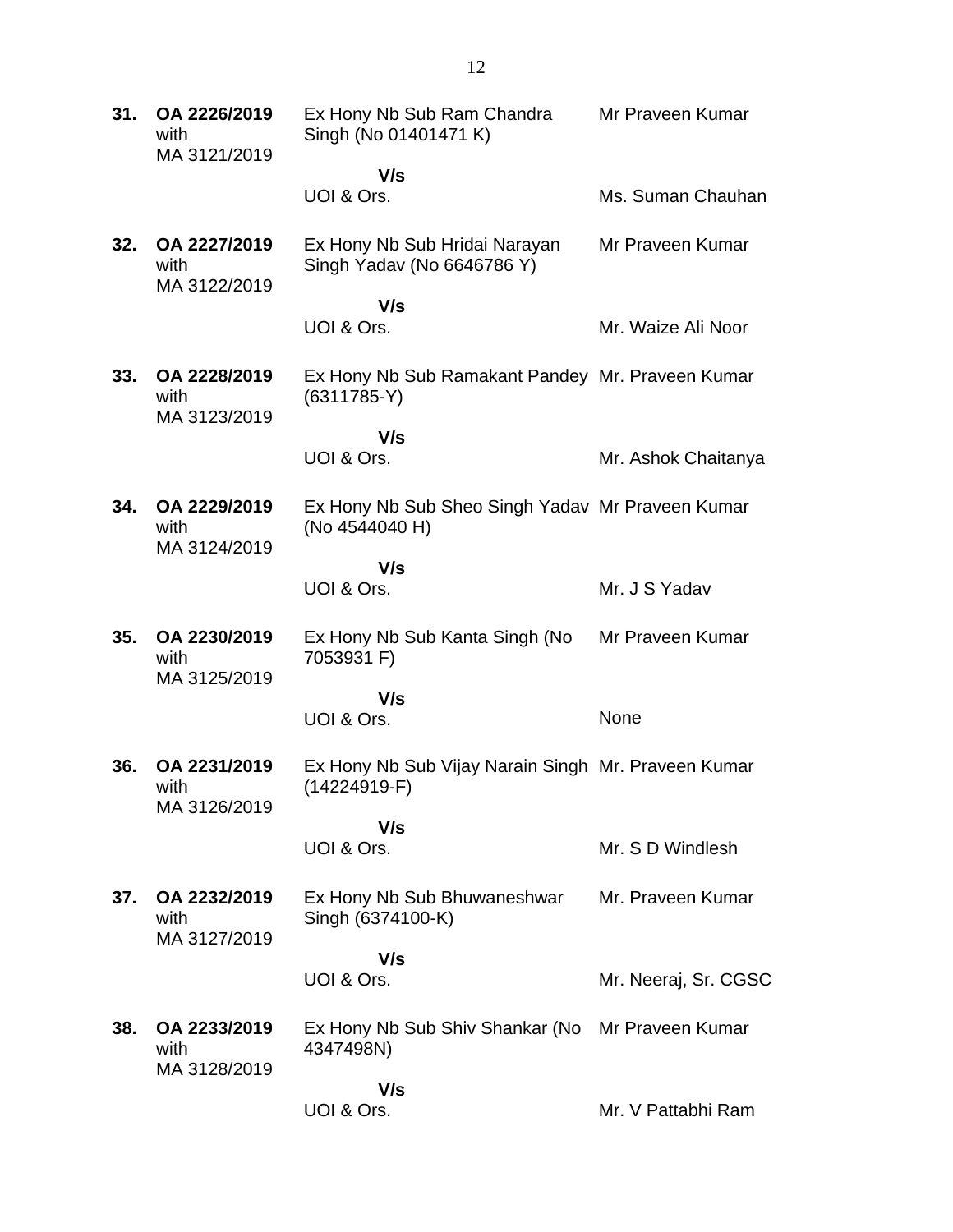| 31. | OA 2226/2019<br>with<br>MA 3121/2019 | Ex Hony Nb Sub Ram Chandra<br>Singh (No 01401471 K)                 | Mr Praveen Kumar     |
|-----|--------------------------------------|---------------------------------------------------------------------|----------------------|
|     |                                      | V/s                                                                 |                      |
|     |                                      | UOI & Ors.                                                          | Ms. Suman Chauhan    |
| 32. | OA 2227/2019<br>with<br>MA 3122/2019 | Ex Hony Nb Sub Hridai Narayan<br>Singh Yadav (No 6646786 Y)         | Mr Praveen Kumar     |
|     |                                      | V/s                                                                 |                      |
|     |                                      | UOI & Ors.                                                          | Mr. Waize Ali Noor   |
| 33. | OA 2228/2019<br>with<br>MA 3123/2019 | Ex Hony Nb Sub Ramakant Pandey Mr. Praveen Kumar<br>$(6311785-Y)$   |                      |
|     |                                      | V/s                                                                 |                      |
|     |                                      | UOI & Ors.                                                          | Mr. Ashok Chaitanya  |
| 34. | OA 2229/2019<br>with<br>MA 3124/2019 | Ex Hony Nb Sub Sheo Singh Yadav Mr Praveen Kumar<br>(No 4544040 H)  |                      |
|     |                                      | V/s<br>UOI & Ors.                                                   | Mr. J S Yadav        |
|     |                                      |                                                                     |                      |
| 35. | OA 2230/2019<br>with<br>MA 3125/2019 | Ex Hony Nb Sub Kanta Singh (No<br>7053931 F)                        | Mr Praveen Kumar     |
|     |                                      | V/s<br>UOI & Ors.                                                   | None                 |
| 36. | OA 2231/2019<br>with                 | Ex Hony Nb Sub Vijay Narain Singh Mr. Praveen Kumar<br>(14224919-F) |                      |
|     | MA 3126/2019                         |                                                                     |                      |
|     |                                      | V/s<br>UOI & Ors.                                                   | Mr. S D Windlesh     |
| 37. | OA 2232/2019<br>with<br>MA 3127/2019 | Ex Hony Nb Sub Bhuwaneshwar<br>Singh (6374100-K)                    | Mr. Praveen Kumar    |
|     |                                      | V/s<br>UOI & Ors.                                                   | Mr. Neeraj, Sr. CGSC |
| 38. | OA 2233/2019<br>with                 | Ex Hony Nb Sub Shiv Shankar (No<br>4347498N)                        | Mr Praveen Kumar     |
|     | MA 3128/2019                         | V/s<br>UOI & Ors.                                                   | Mr. V Pattabhi Ram   |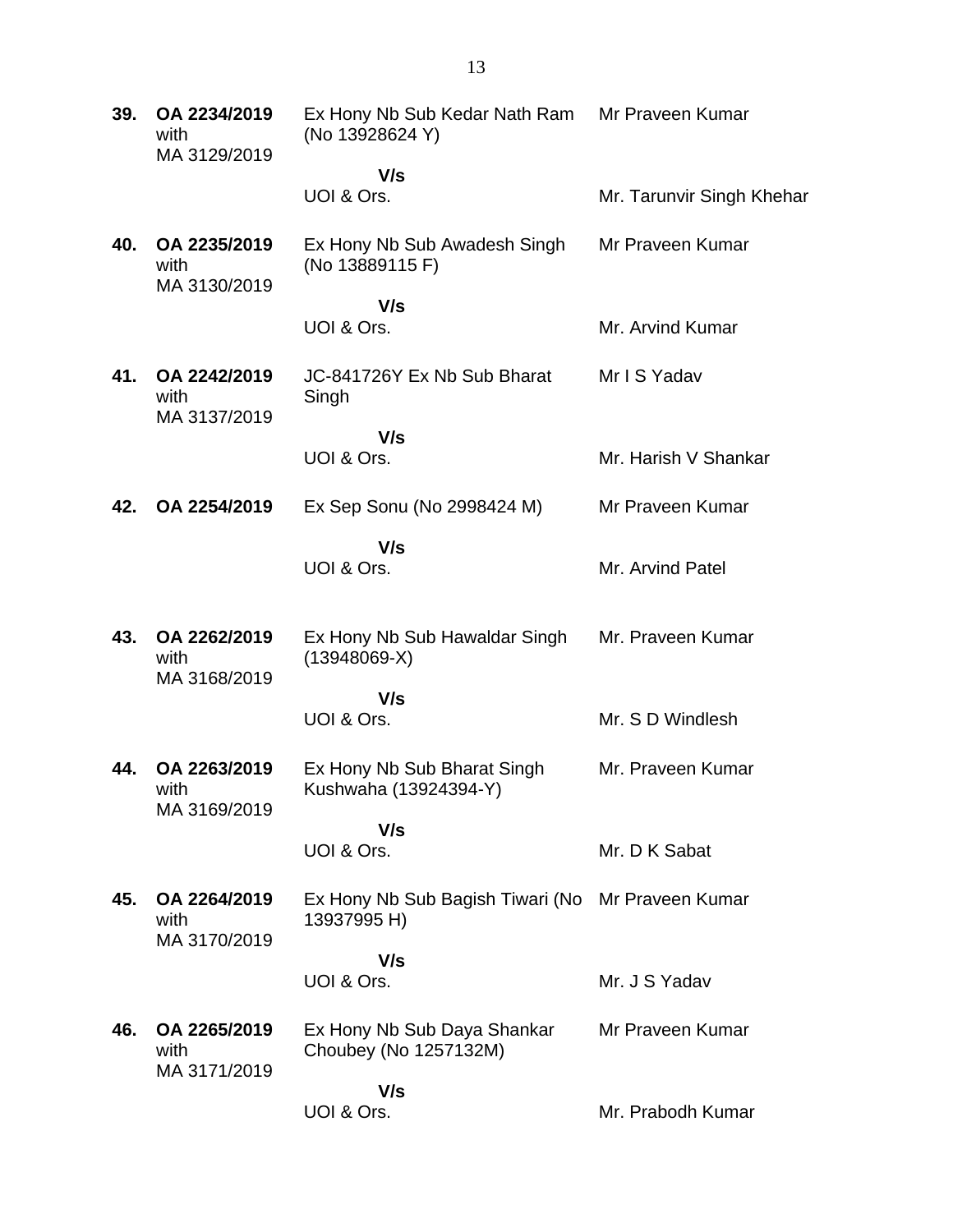**39. OA 2234/2019** with MA 3129/2019 Ex Hony Nb Sub Kedar Nath Ram (No 13928624 Y)  **V/s** UOI & Ors. Mr Praveen Kumar Mr. Tarunvir Singh Khehar **40. OA 2235/2019** with MA 3130/2019 Ex Hony Nb Sub Awadesh Singh (No 13889115 F)  **V/s** UOI & Ors. Mr Praveen Kumar Mr. Arvind Kumar **41. OA 2242/2019** with MA 3137/2019 JC-841726Y Ex Nb Sub Bharat Singh  **V/s** UOI & Ors. Mr I S Yadav Mr. Harish V Shankar **42. OA 2254/2019** Ex Sep Sonu (No 2998424 M)  **V/s** UOI & Ors. Mr Praveen Kumar Mr. Arvind Patel **43. OA 2262/2019** with MA 3168/2019 Ex Hony Nb Sub Hawaldar Singh (13948069-X)  **V/s** UOI & Ors. Mr. Praveen Kumar Mr. S D Windlesh **44. OA 2263/2019** with MA 3169/2019 Ex Hony Nb Sub Bharat Singh Kushwaha (13924394-Y)  **V/s** UOI & Ors. Mr. Praveen Kumar Mr. D K Sabat **45. OA 2264/2019** with MA 3170/2019 Ex Hony Nb Sub Bagish Tiwari (No Mr Praveen Kumar 13937995 H)  **V/s** UOI & Ors. Mr. J S Yadav **46. OA 2265/2019** with MA 3171/2019 Ex Hony Nb Sub Daya Shankar Choubey (No 1257132M)  **V/s** UOI & Ors. Mr Praveen Kumar Mr. Prabodh Kumar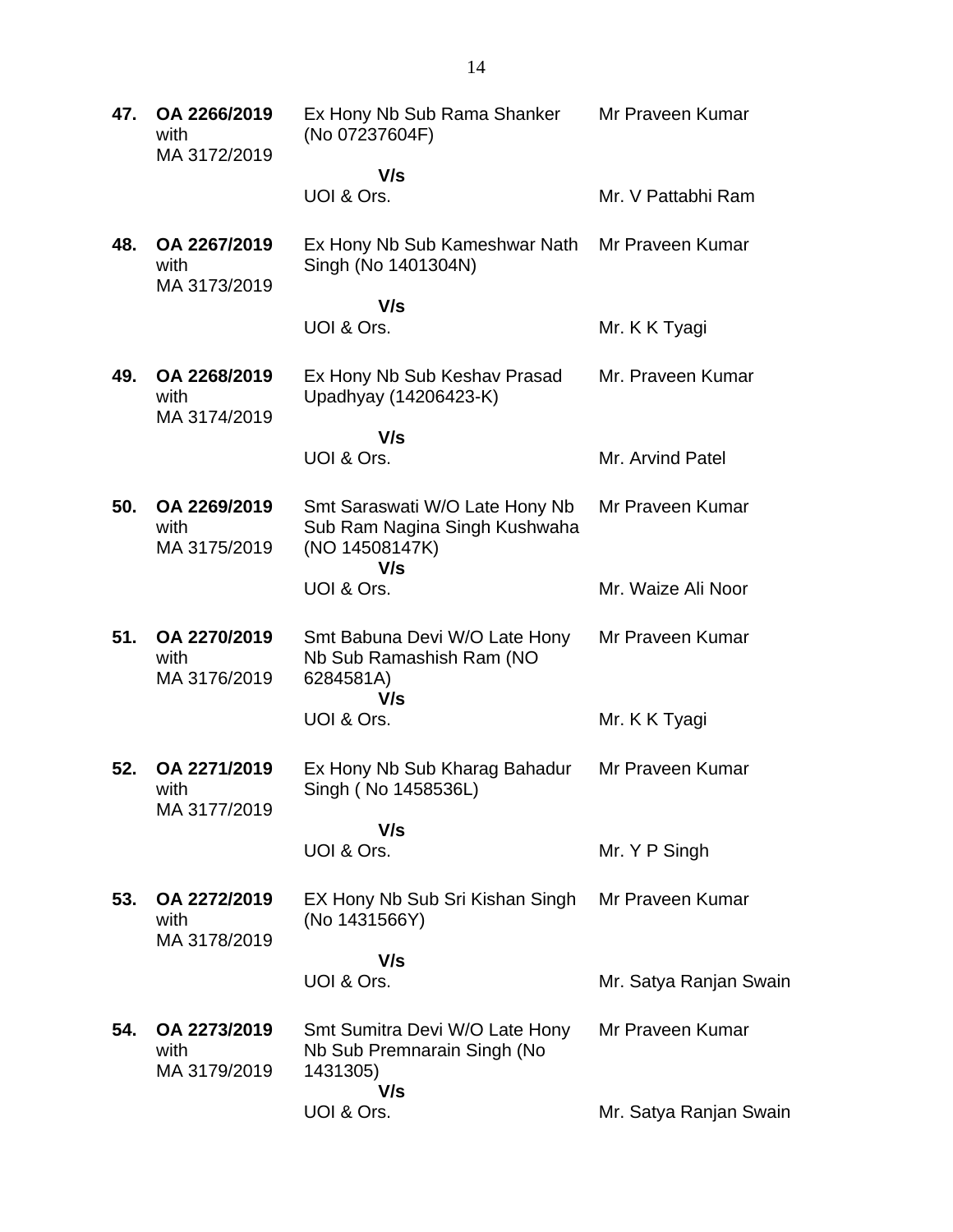**47. OA 2266/2019** with MA 3172/2019 Ex Hony Nb Sub Rama Shanker (No 07237604F)  **V/s** UOI & Ors. Mr Praveen Kumar Mr. V Pattabhi Ram **48. OA 2267/2019** with MA 3173/2019 Ex Hony Nb Sub Kameshwar Nath Mr Praveen Kumar Singh (No 1401304N)  **V/s** UOI & Ors. Mr. K K Tyagi **49. OA 2268/2019** with MA 3174/2019 Ex Hony Nb Sub Keshav Prasad Upadhyay (14206423-K)  **V/s** UOI & Ors. Mr. Praveen Kumar Mr. Arvind Patel **50. OA 2269/2019** with MA 3175/2019 Smt Saraswati W/O Late Hony Nb Sub Ram Nagina Singh Kushwaha (NO 14508147K)  **V/s** UOI & Ors. Mr Praveen Kumar Mr. Waize Ali Noor **51. OA 2270/2019** with MA 3176/2019 Smt Babuna Devi W/O Late Hony Nb Sub Ramashish Ram (NO 6284581A)  **V/s** UOI & Ors. Mr Praveen Kumar Mr. K K Tyagi **52. OA 2271/2019** with MA 3177/2019 Ex Hony Nb Sub Kharag Bahadur Singh ( No 1458536L)  **V/s** UOI & Ors. Mr Praveen Kumar Mr. Y P Singh **53. OA 2272/2019** with MA 3178/2019 EX Hony Nb Sub Sri Kishan Singh (No 1431566Y)  **V/s** UOI & Ors. Mr Praveen Kumar Mr. Satya Ranjan Swain **54. OA 2273/2019** with MA 3179/2019 Smt Sumitra Devi W/O Late Hony Nb Sub Premnarain Singh (No 1431305)  **V/s** UOI & Ors. Mr Praveen Kumar Mr. Satya Ranjan Swain